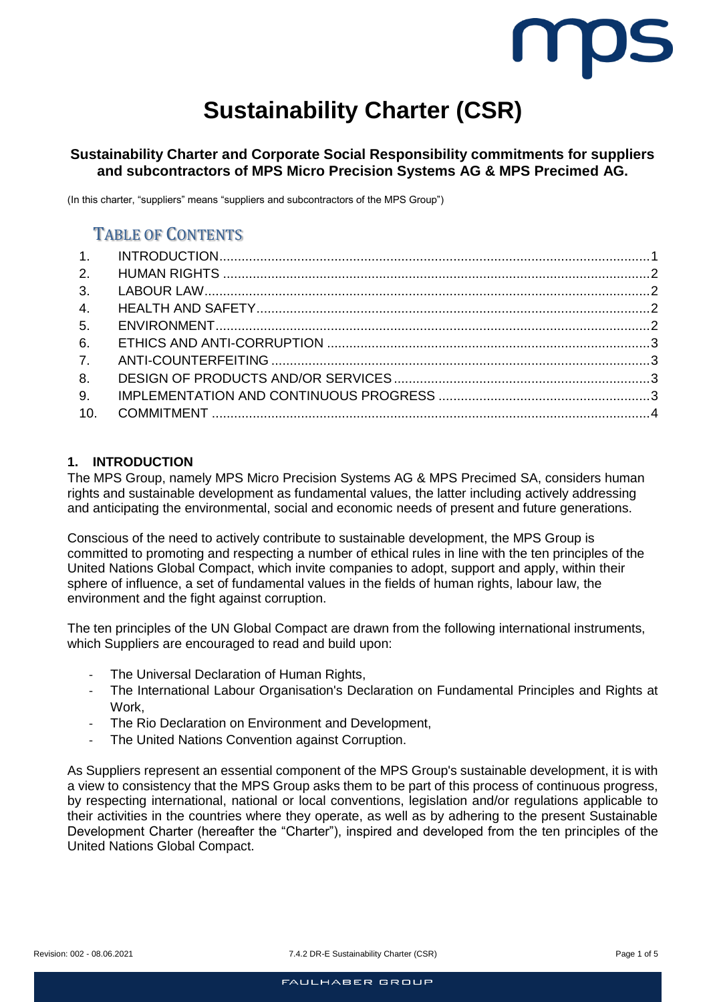

# **Sustainability Charter (CSR)**

# **Sustainability Charter and Corporate Social Responsibility commitments for suppliers and subcontractors of MPS Micro Precision Systems AG & MPS Precimed AG.**

(In this charter, "suppliers" means "suppliers and subcontractors of the MPS Group")

# TABLE OF CONTENTS

| 5.  |  |
|-----|--|
| 6.  |  |
|     |  |
| 8.  |  |
| 9.  |  |
| 10. |  |

## <span id="page-0-0"></span>**1. INTRODUCTION**

The MPS Group, namely MPS Micro Precision Systems AG & MPS Precimed SA, considers human rights and sustainable development as fundamental values, the latter including actively addressing and anticipating the environmental, social and economic needs of present and future generations.

Conscious of the need to actively contribute to sustainable development, the MPS Group is committed to promoting and respecting a number of ethical rules in line with the ten principles of the United Nations Global Compact, which invite companies to adopt, support and apply, within their sphere of influence, a set of fundamental values in the fields of human rights, labour law, the environment and the fight against corruption.

The ten principles of the UN Global Compact are drawn from the following international instruments, which Suppliers are encouraged to read and build upon:

- The Universal Declaration of Human Rights,
- The International Labour Organisation's Declaration on Fundamental Principles and Rights at Work,
- The Rio Declaration on Environment and Development,
- The United Nations Convention against Corruption.

As Suppliers represent an essential component of the MPS Group's sustainable development, it is with a view to consistency that the MPS Group asks them to be part of this process of continuous progress, by respecting international, national or local conventions, legislation and/or regulations applicable to their activities in the countries where they operate, as well as by adhering to the present Sustainable Development Charter (hereafter the "Charter"), inspired and developed from the ten principles of the United Nations Global Compact.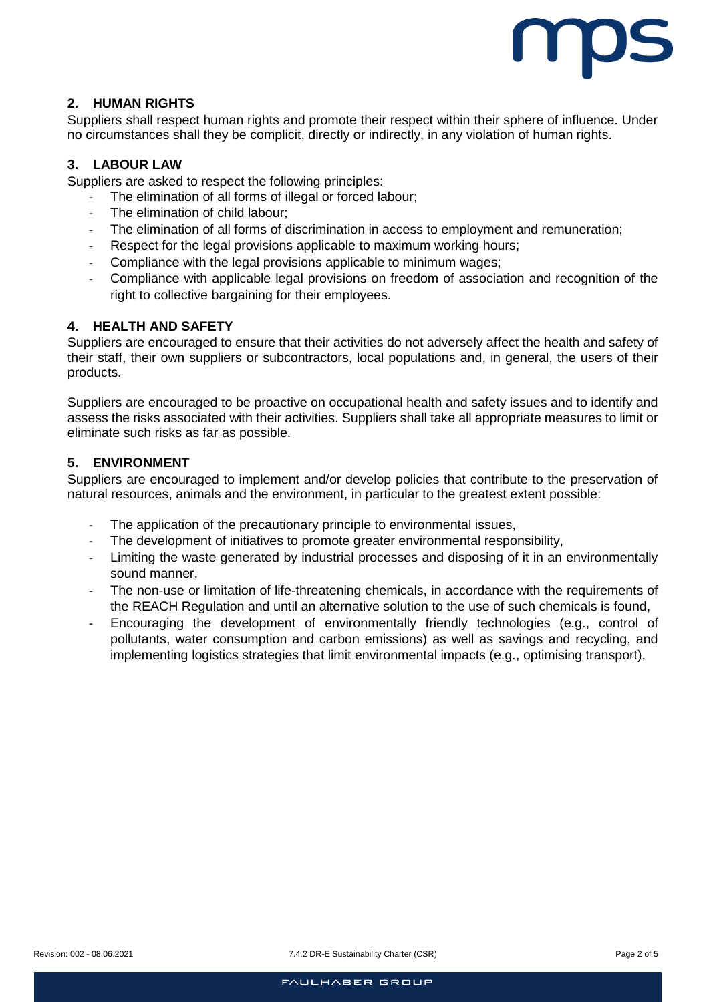

## <span id="page-1-0"></span>**2. HUMAN RIGHTS**

Suppliers shall respect human rights and promote their respect within their sphere of influence. Under no circumstances shall they be complicit, directly or indirectly, in any violation of human rights.

#### <span id="page-1-1"></span>**3. LABOUR LAW**

Suppliers are asked to respect the following principles:

- The elimination of all forms of illegal or forced labour:
- The elimination of child labour;
- The elimination of all forms of discrimination in access to employment and remuneration;
- Respect for the legal provisions applicable to maximum working hours;
- Compliance with the legal provisions applicable to minimum wages;
- Compliance with applicable legal provisions on freedom of association and recognition of the right to collective bargaining for their employees.

#### <span id="page-1-2"></span>**4. HEALTH AND SAFETY**

Suppliers are encouraged to ensure that their activities do not adversely affect the health and safety of their staff, their own suppliers or subcontractors, local populations and, in general, the users of their products.

Suppliers are encouraged to be proactive on occupational health and safety issues and to identify and assess the risks associated with their activities. Suppliers shall take all appropriate measures to limit or eliminate such risks as far as possible.

#### <span id="page-1-3"></span>**5. ENVIRONMENT**

Suppliers are encouraged to implement and/or develop policies that contribute to the preservation of natural resources, animals and the environment, in particular to the greatest extent possible:

- The application of the precautionary principle to environmental issues,
- The development of initiatives to promote greater environmental responsibility,
- Limiting the waste generated by industrial processes and disposing of it in an environmentally sound manner,
- The non-use or limitation of life-threatening chemicals, in accordance with the requirements of the REACH Regulation and until an alternative solution to the use of such chemicals is found,
- Encouraging the development of environmentally friendly technologies (e.g., control of pollutants, water consumption and carbon emissions) as well as savings and recycling, and implementing logistics strategies that limit environmental impacts (e.g., optimising transport),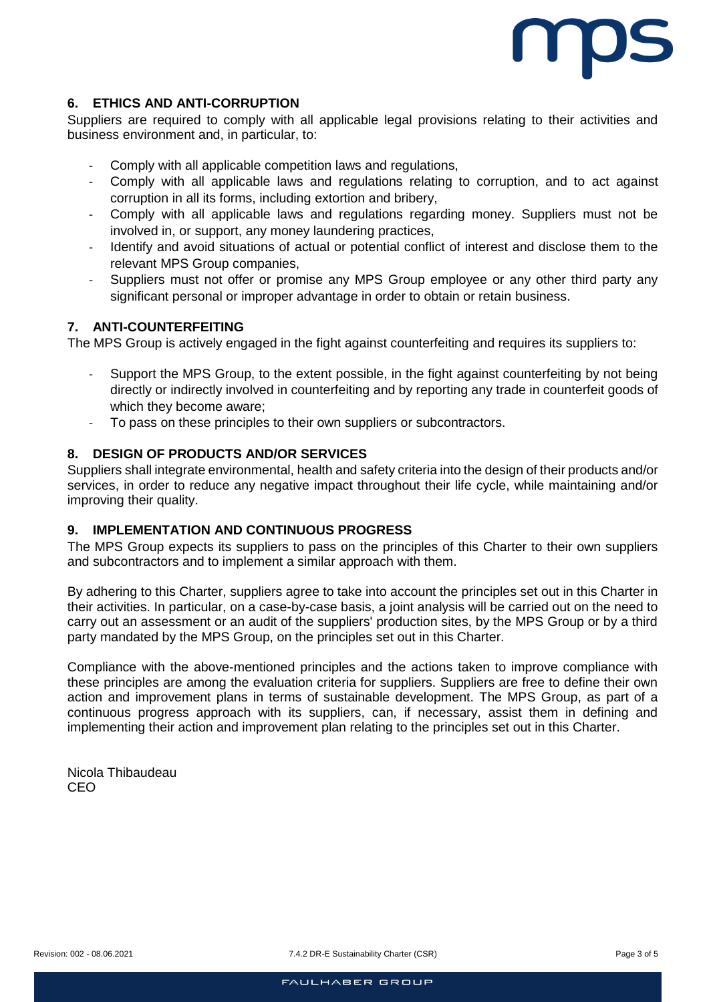

# <span id="page-2-0"></span>**6. ETHICS AND ANTI-CORRUPTION**

Suppliers are required to comply with all applicable legal provisions relating to their activities and business environment and, in particular, to:

- Comply with all applicable competition laws and regulations,
- Comply with all applicable laws and regulations relating to corruption, and to act against corruption in all its forms, including extortion and bribery,
- Comply with all applicable laws and regulations regarding money. Suppliers must not be involved in, or support, any money laundering practices,
- Identify and avoid situations of actual or potential conflict of interest and disclose them to the relevant MPS Group companies,
- Suppliers must not offer or promise any MPS Group employee or any other third party any significant personal or improper advantage in order to obtain or retain business.

#### <span id="page-2-1"></span>**7. ANTI-COUNTERFEITING**

The MPS Group is actively engaged in the fight against counterfeiting and requires its suppliers to:

- Support the MPS Group, to the extent possible, in the fight against counterfeiting by not being directly or indirectly involved in counterfeiting and by reporting any trade in counterfeit goods of which they become aware;
- To pass on these principles to their own suppliers or subcontractors.

#### <span id="page-2-2"></span>**8. DESIGN OF PRODUCTS AND/OR SERVICES**

Suppliers shall integrate environmental, health and safety criteria into the design of their products and/or services, in order to reduce any negative impact throughout their life cycle, while maintaining and/or improving their quality.

#### <span id="page-2-3"></span>**9. IMPLEMENTATION AND CONTINUOUS PROGRESS**

The MPS Group expects its suppliers to pass on the principles of this Charter to their own suppliers and subcontractors and to implement a similar approach with them.

By adhering to this Charter, suppliers agree to take into account the principles set out in this Charter in their activities. In particular, on a case-by-case basis, a joint analysis will be carried out on the need to carry out an assessment or an audit of the suppliers' production sites, by the MPS Group or by a third party mandated by the MPS Group, on the principles set out in this Charter.

Compliance with the above-mentioned principles and the actions taken to improve compliance with these principles are among the evaluation criteria for suppliers. Suppliers are free to define their own action and improvement plans in terms of sustainable development. The MPS Group, as part of a continuous progress approach with its suppliers, can, if necessary, assist them in defining and implementing their action and improvement plan relating to the principles set out in this Charter.

Nicola Thibaudeau CEO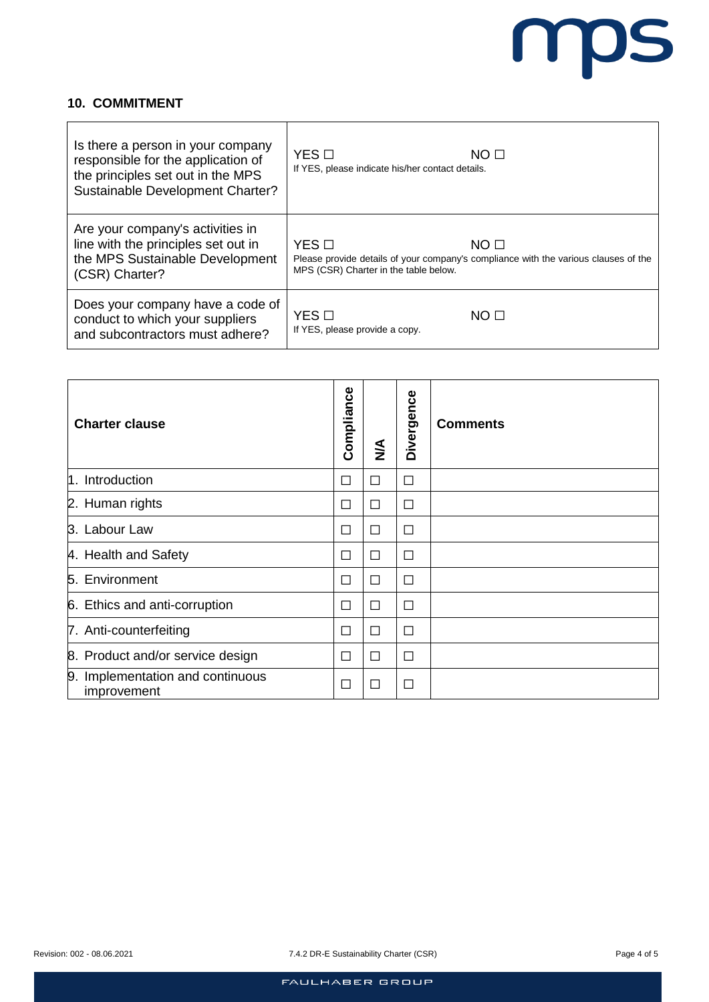

# <span id="page-3-0"></span>**10. COMMITMENT**

 $\mathbf{r}$ 

| Is there a person in your company<br>responsible for the application of<br>the principles set out in the MPS<br>Sustainable Development Charter? | $YES$ $\square$<br>If YES, please indicate his/her contact details. | NO <sub>II</sub>                                                                                        |
|--------------------------------------------------------------------------------------------------------------------------------------------------|---------------------------------------------------------------------|---------------------------------------------------------------------------------------------------------|
| Are your company's activities in<br>line with the principles set out in<br>the MPS Sustainable Development<br>(CSR) Charter?                     | $YES$ $\square$<br>MPS (CSR) Charter in the table below.            | NO <sub>II</sub><br>Please provide details of your company's compliance with the various clauses of the |
| Does your company have a code of<br>conduct to which your suppliers<br>and subcontractors must adhere?                                           | $YES \Box$<br>If YES, please provide a copy.                        | NO <sub>II</sub>                                                                                        |

| <b>Charter clause</b>                           | Compliance | $\frac{1}{2}$            | Divergence                  | <b>Comments</b> |
|-------------------------------------------------|------------|--------------------------|-----------------------------|-----------------|
| 1. Introduction                                 | П          | $\Box$                   | П                           |                 |
| 2. Human rights                                 | П          | П                        | П                           |                 |
| 3. Labour Law                                   | П          | П                        | $\Box$                      |                 |
| 4. Health and Safety                            | П          | П                        | П                           |                 |
| 5. Environment                                  | П          | П                        | П                           |                 |
| 6. Ethics and anti-corruption                   | П          | П                        | $\Box$                      |                 |
| 7. Anti-counterfeiting                          | П          | П                        | П                           |                 |
| 8. Product and/or service design                | П          | П                        | П                           |                 |
| 9. Implementation and continuous<br>improvement | П          | $\overline{\phantom{a}}$ | $\mathcal{L}_{\mathcal{A}}$ |                 |